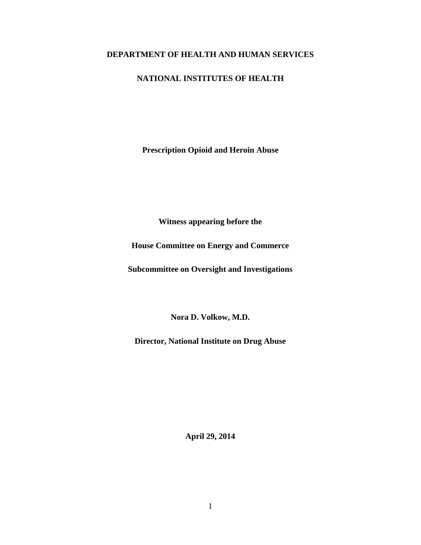## **DEPARTMENT OF HEALTH AND HUMAN SERVICES**

# **NATIONAL INSTITUTES OF HEALTH**

**Prescription Opioid and Heroin Abuse**

**Witness appearing before the**

**House Committee on Energy and Commerce**

**Subcommittee on Oversight and Investigations**

**Nora D. Volkow, M.D.**

**Director, National Institute on Drug Abuse**

**April 29, 2014**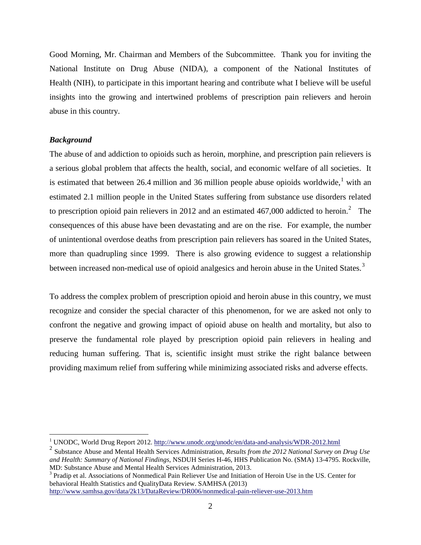Good Morning, Mr. Chairman and Members of the Subcommittee. Thank you for inviting the National Institute on Drug Abuse (NIDA), a component of the National Institutes of Health (NIH), to participate in this important hearing and contribute what I believe will be useful insights into the growing and intertwined problems of prescription pain relievers and heroin abuse in this country.

## *Background*

The abuse of and addiction to opioids such as heroin, morphine, and prescription pain relievers is a serious global problem that affects the health, social, and economic welfare of all societies. It is estimated that between 26.4 million and 36 million people abuse opioids worldwide,<sup>[1](#page-1-0)</sup> with an estimated 2.1 million people in the United States suffering from substance use disorders related to prescription opioid pain relievers in [2](#page-1-1)012 and an estimated  $467,000$  addicted to heroin.<sup>2</sup> The consequences of this abuse have been devastating and are on the rise. For example, the number of unintentional overdose deaths from prescription pain relievers has soared in the United States, more than quadrupling since 1999. There is also growing evidence to suggest a relationship between increased non-medical use of opioid analgesics and heroin abuse in the United States.<sup>[3](#page-1-2)</sup>

To address the complex problem of prescription opioid and heroin abuse in this country, we must recognize and consider the special character of this phenomenon, for we are asked not only to confront the negative and growing impact of opioid abuse on health and mortality, but also to preserve the fundamental role played by prescription opioid pain relievers in healing and reducing human suffering. That is, scientific insight must strike the right balance between providing maximum relief from suffering while minimizing associated risks and adverse effects.

<span id="page-1-2"></span>behavioral Health Statistics and QualityData Review. SAMHSA (2013) <http://www.samhsa.gov/data/2k13/DataReview/DR006/nonmedical-pain-reliever-use-2013.htm>

<sup>&</sup>lt;sup>1</sup> UNODC, World Drug Report 2012.<http://www.unodc.org/unodc/en/data-and-analysis/WDR-2012.html>

<span id="page-1-1"></span><span id="page-1-0"></span><sup>2</sup> Substance Abuse and Mental Health Services Administration, *Results from the 2012 National Survey on Drug Use and Health: Summary of National Findings*, NSDUH Series H-46, HHS Publication No. (SMA) 13-4795. Rockville, MD: Substance Abuse and Mental Health Services Administration, 2013.<br><sup>3</sup> Pradip et al. Associations of Nonmedical Pain Reliever Use and Initiation of Heroin Use in the US. Center for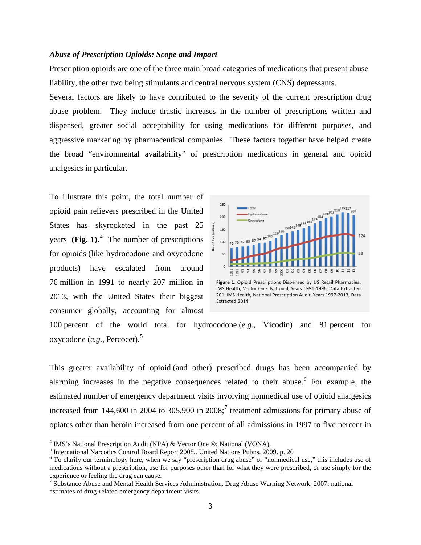#### *Abuse of Prescription Opioids: Scope and Impact*

Prescription opioids are one of the three main broad categories of medications that present abuse liability, the other two being stimulants and central nervous system (CNS) depressants.

Several factors are likely to have contributed to the severity of the current prescription drug abuse problem. They include drastic increases in the number of prescriptions written and dispensed, greater social acceptability for using medications for different purposes, and aggressive marketing by pharmaceutical companies. These factors together have helped create the broad "environmental availability" of prescription medications in general and opioid analgesics in particular.

To illustrate this point, the total number of opioid pain relievers prescribed in the United States has skyrocketed in the past 25 years **(Fig. 1)**. [4](#page-2-0) The number of prescriptions for opioids (like hydrocodone and oxycodone products) have escalated from around 76 million in 1991 to nearly 207 million in 2013, with the United States their biggest consumer globally, accounting for almost



IMS Health, Vector One: National, Years 1991-1996, Data Extracted 201. IMS Health, National Prescription Audit, Years 1997-2013, Data Extracted 2014.

100 percent of the world total for hydrocodone (*e.g.,* Vicodin) and 81 percent for oxycodone (*e.g.,* Percocet). [5](#page-2-1)

This greater availability of opioid (and other) prescribed drugs has been accompanied by alarming increases in the negative consequences related to their abuse.<sup>[6](#page-2-2)</sup> For example, the estimated number of emergency department visits involving nonmedical use of opioid analgesics increased from 144,600 in 2004 to 305,900 in  $2008$ ;<sup>[7](#page-2-3)</sup> treatment admissions for primary abuse of opiates other than heroin increased from one percent of all admissions in 1997 to five percent in

<span id="page-2-0"></span><sup>&</sup>lt;sup>4</sup> IMS's National Prescription Audit (NPA) & Vector One ®: National (VONA).<br><sup>5</sup> International Narcotics Control Board Report 2008.. United Nations Pubns. 2009. p. 20

<span id="page-2-2"></span><span id="page-2-1"></span> $6$  To clarify our terminology here, when we say "prescription drug abuse" or "nonmedical use," this includes use of medications without a prescription, use for purposes other than for what they were prescribed, or use simply for the experience or feeling the drug can cause.<br><sup>7</sup> Substance Abuse and Mental Health Services Administration. Drug Abuse Warning Network, 2007: national

<span id="page-2-3"></span>estimates of drug-related emergency department visits.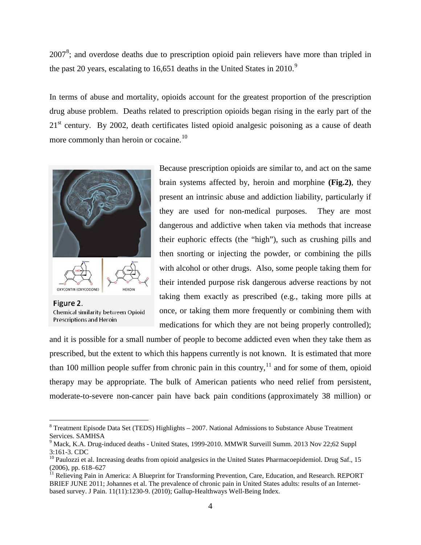$2007<sup>8</sup>$  $2007<sup>8</sup>$  $2007<sup>8</sup>$ ; and overdose deaths due to prescription opioid pain relievers have more than tripled in the past 20 years, escalating to 16,651 deaths in the United States in 2010.<sup>[9](#page-3-1)</sup>

In terms of abuse and mortality, opioids account for the greatest proportion of the prescription drug abuse problem. Deaths related to prescription opioids began rising in the early part of the  $21<sup>st</sup>$  century. By 2002, death certificates listed opioid analgesic poisoning as a cause of death more commonly than heroin or cocaine.<sup>[10](#page-3-2)</sup>



Figure 2. Chemical similarity between Opioid **Prescriptions and Heroin** 

Because prescription opioids are similar to, and act on the same brain systems affected by, heroin and morphine **(Fig.2)**, they present an intrinsic abuse and addiction liability, particularly if they are used for non-medical purposes. They are most dangerous and addictive when taken via methods that increase their euphoric effects (the "high"), such as crushing pills and then snorting or injecting the powder, or combining the pills with alcohol or other drugs. Also, some people taking them for their intended purpose risk dangerous adverse reactions by not taking them exactly as prescribed (e.g., taking more pills at once, or taking them more frequently or combining them with medications for which they are not being properly controlled);

and it is possible for a small number of people to become addicted even when they take them as prescribed, but the extent to which this happens currently is not known. It is estimated that more than 100 million people suffer from chronic pain in this country,  $11$  and for some of them, opioid therapy may be appropriate. The bulk of American patients who need relief from persistent, moderate-to-severe non-cancer pain have back pain conditions (approximately 38 million) or

<span id="page-3-0"></span> $8$  Treatment Episode Data Set (TEDS) Highlights  $-2007$ . National Admissions to Substance Abuse Treatment Services. SAMHSA

<span id="page-3-1"></span><sup>&</sup>lt;sup>9</sup> Mack, K.A. Drug-induced deaths - United States, 1999-2010. [MMWR Surveill Summ.](http://www.ncbi.nlm.nih.gov/pubmed/24264508) 2013 Nov 22;62 Suppl 3:161-3. CDC<br><sup>10</sup> Paulozzi et al. Increasing deaths from opioid analgesics in the United States Pharmacoepidemiol. Drug Saf., 15

<span id="page-3-2"></span><sup>(2006),</sup> pp. 618–627<br><sup>11</sup> [Relieving Pain in America:](http://www.iom.edu/~/media/Files/Report%20Files/2011/Relieving-Pain-in-America-A-Blueprint-for-Transforming-Prevention-Care-Education-Research/Pain%20Research%202011%20Report%20Brief.pdf) A Blueprint for Transforming Prevention, Care, Education, and Research. REPORT

<span id="page-3-3"></span>BRIEF JUNE 2011; Johannes et al. The prevalence of chronic pain in United States adults: results of an Internetbased survey. [J Pain.](http://www.ncbi.nlm.nih.gov/pubmed/20797916) 11(11):1230-9. (2010); [Gallup-Healthways Well-Being Index.](http://www.gallup.com/poll/154169/Chronic-Pain-Rates-Shoot-Until-Americans-Reach-Late-50s.aspx?ref=image)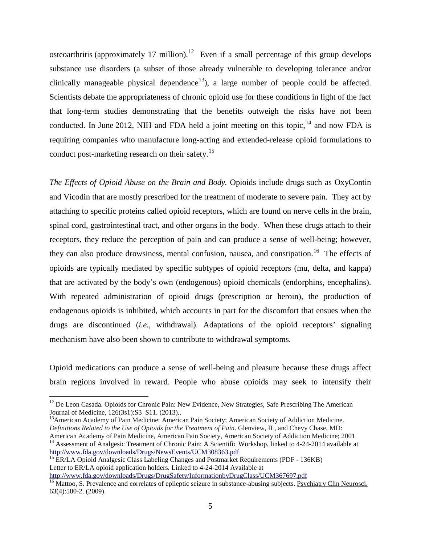osteoarthritis (approximately 17 million).<sup>[12](#page-4-0)</sup> Even if a small percentage of this group develops substance use disorders (a subset of those already vulnerable to developing tolerance and/or clinically manageable physical dependence<sup>[13](#page-4-1)</sup>), a large number of people could be affected. Scientists debate the appropriateness of chronic opioid use for these conditions in light of the fact that long-term studies demonstrating that the benefits outweigh the risks have not been conducted. In June 2012, NIH and FDA held a joint meeting on this topic,  $^{14}$  $^{14}$  $^{14}$  and now FDA is requiring companies who manufacture long-acting and extended-release opioid formulations to conduct post-marketing research on their safety.<sup>[15](#page-4-3)</sup>

*The Effects of Opioid Abuse on the Brain and Body.* Opioids include drugs such as OxyContin and Vicodin that are mostly prescribed for the treatment of moderate to severe pain. They act by attaching to specific proteins called opioid receptors, which are found on nerve cells in the brain, spinal cord, gastrointestinal tract, and other organs in the body. When these drugs attach to their receptors, they reduce the perception of pain and can produce a sense of well-being; however, they can also produce drowsiness, mental confusion, nausea, and constipation.<sup>[16](#page-4-4)</sup> The effects of opioids are typically mediated by specific subtypes of opioid receptors (mu, delta, and kappa) that are activated by the body's own (endogenous) opioid chemicals (endorphins, encephalins). With repeated administration of opioid drugs (prescription or heroin), the production of endogenous opioids is inhibited, which accounts in part for the discomfort that ensues when the drugs are discontinued (*i.e.,* withdrawal). Adaptations of the opioid receptors' signaling mechanism have also been shown to contribute to withdrawal symptoms.

Opioid medications can produce a sense of well-being and pleasure because these drugs affect brain regions involved in reward. People who abuse opioids may seek to intensify their

<span id="page-4-1"></span><sup>13</sup> American Academy of Pain Medicine; American Pain Society; American Society of Addiction Medicine. *Definitions Related to the Use of Opioids for the Treatment of Pain*. Glenview, IL, and Chevy Chase, MD: American Academy of Pain Medicine, American Pain Society, American Society of Addiction Medicine; 2001

<span id="page-4-0"></span><sup>&</sup>lt;sup>12</sup> De Leon Casada. Opioids for Chronic Pain: New Evidence, New Strategies, Safe Prescribing The American Journal of Medicine,  $126(3s1):S3-S11$ . (2013)..

<span id="page-4-2"></span><sup>&</sup>lt;sup>14</sup> Assessment of Analgesic Treatment of Chronic Pain: A Scientific Workshop, linked to 4-24-2014 available at <http://www.fda.gov/downloads/Drugs/NewsEvents/UCM308363.pdf>

<span id="page-4-3"></span><sup>&</sup>lt;sup>15</sup> ER/LA Opioid Analgesic Class Labeling Changes and Postmarket Requirements (PDF - 136KB) Letter to ER/LA opioid application holders. Linked to 4-24-2014 Available at

<http://www.fda.gov/downloads/Drugs/DrugSafety/InformationbyDrugClass/UCM367697.pdf>

<span id="page-4-4"></span><sup>&</sup>lt;sup>16</sup> Mattoo, S. Prevalence and correlates of epileptic seizure in substance-abusing subjects. [Psychiatry Clin Neurosci.](http://www.ncbi.nlm.nih.gov/pubmed/19497001) 63(4):580-2. (2009).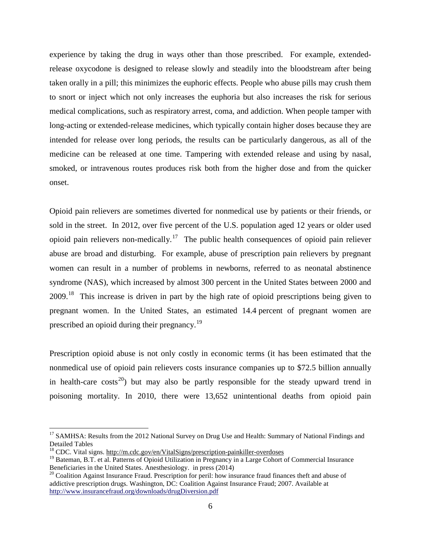experience by taking the drug in ways other than those prescribed. For example, extendedrelease oxycodone is designed to release slowly and steadily into the bloodstream after being taken orally in a pill; this minimizes the euphoric effects. People who abuse pills may crush them to snort or inject which not only increases the euphoria but also increases the risk for serious medical complications, such as respiratory arrest, coma, and addiction. When people tamper with long-acting or extended-release medicines, which typically contain higher doses because they are intended for release over long periods, the results can be particularly dangerous, as all of the medicine can be released at one time. Tampering with extended release and using by nasal, smoked, or intravenous routes produces risk both from the higher dose and from the quicker onset.

Opioid pain relievers are sometimes diverted for nonmedical use by patients or their friends, or sold in the street. In 2012, over five percent of the U.S. population aged 12 years or older used opioid pain relievers non-medically.<sup>17</sup> The public health consequences of opioid pain reliever abuse are broad and disturbing. For example, abuse of prescription pain relievers by pregnant women can result in a number of problems in newborns, referred to as neonatal abstinence syndrome (NAS), which increased by almost 300 percent in the United States between 2000 and 2009.[18](#page-5-1) This increase is driven in part by the high rate of opioid prescriptions being given to pregnant women. In the United States, an estimated 14.4 percent of pregnant women are prescribed an opioid during their pregnancy.<sup>[19](#page-5-2)</sup>

Prescription opioid abuse is not only costly in economic terms (it has been estimated that the nonmedical use of opioid pain relievers costs insurance companies up to \$72.5 billion annually in health-care costs<sup>[20](#page-5-3)</sup>) but may also be partly responsible for the steady upward trend in poisoning mortality. In 2010, there were 13,652 unintentional deaths from opioid pain

<span id="page-5-0"></span><sup>&</sup>lt;sup>17</sup> SAMHSA: Results from the 2012 National Survey on Drug Use and Health: Summary of National Findings and [Detailed Tables](http://www.samhsa.gov/data/NSDUH/2012SummNatFindDetTables/Index.aspx)

<span id="page-5-1"></span><sup>18</sup> CDC. Vital signs[. http://m.cdc.gov/en/VitalSigns/prescription-painkiller-overdoses](http://m.cdc.gov/en/VitalSigns/prescription-painkiller-overdoses)

<span id="page-5-2"></span><sup>&</sup>lt;sup>19</sup> Bateman, B.T. et al. Patterns of Opioid Utilization in Pregnancy in a Large Cohort of Commercial Insurance Beneficiaries in the United States. Anesthesiology. in press (2014)

<span id="page-5-3"></span> $^{20}$  Coalition Against Insurance Fraud. Prescription for peril: how insurance fraud finances theft and abuse of addictive prescription drugs. Washington, DC: Coalition Against Insurance Fraud; 2007. Available at <http://www.insurancefraud.org/downloads/drugDiversion.pdf>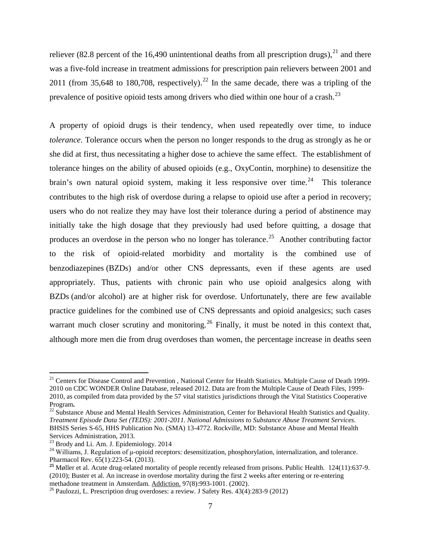reliever (82.8 percent of the 16,490 unintentional deaths from all prescription drugs),  $^{21}$  $^{21}$  $^{21}$  and there was a five-fold increase in treatment admissions for prescription pain relievers between 2001 and 2011 (from 35,648 to 180,708, respectively).<sup>[22](#page-6-1)</sup> In the same decade, there was a tripling of the prevalence of positive opioid tests among drivers who died within one hour of a crash.<sup>[23](#page-6-2)</sup>

A property of opioid drugs is their tendency, when used repeatedly over time, to induce *tolerance*. Tolerance occurs when the person no longer responds to the drug as strongly as he or she did at first, thus necessitating a higher dose to achieve the same effect. The establishment of tolerance hinges on the ability of abused opioids (e.g., OxyContin, morphine) to desensitize the brain's own natural opioid system, making it less responsive over time.<sup>24</sup> This tolerance contributes to the high risk of overdose during a relapse to opioid use after a period in recovery; users who do not realize they may have lost their tolerance during a period of abstinence may initially take the high dosage that they previously had used before quitting, a dosage that produces an overdose in the person who no longer has tolerance.<sup>[25](#page-6-4)</sup> Another contributing factor to the risk of opioid-related morbidity and mortality is the combined use of benzodiazepines (BZDs) and/or other CNS depressants, even if these agents are used appropriately. Thus, patients with chronic pain who use opioid analgesics along with BZDs (and/or alcohol) are at higher risk for overdose. Unfortunately, there are few available practice guidelines for the combined use of CNS depressants and opioid analgesics; such cases warrant much closer scrutiny and monitoring.<sup>[26](#page-6-5)</sup> Finally, it must be noted in this context that, although more men die from drug overdoses than women, the percentage increase in deaths seen

<span id="page-6-0"></span><sup>&</sup>lt;sup>21</sup> Centers for Disease Control and Prevention, National Center for Health Statistics. Multiple Cause of Death 1999-2010 on CDC WONDER Online Database, released 2012. Data are from the Multiple Cause of Death Files, 1999- 2010, as compiled from data provided by the 57 vital statistics jurisdictions through the Vital Statistics Cooperative Program**.** <sup>22</sup> Substance Abuse and Mental Health Services Administration, Center for Behavioral Health Statistics and Quality.

<span id="page-6-1"></span>*Treatment Episode Data Set (TEDS): 2001-2011. National Admissions to Substance Abuse Treatment Services*. BHSIS Series S-65, HHS Publication No. (SMA) 13-4772. Rockville, MD: Substance Abuse and Mental Health Services Administration, 2013.<br><sup>23</sup> Brody and Li. Am. J. Epidemiology. 2014

<span id="page-6-2"></span>

<span id="page-6-3"></span><sup>&</sup>lt;sup>24</sup> Williams, J. Regulation of  $\mu$ -opioid receptors: desensitization, phosphorylation, internalization, and tolerance. Pharmacol Rev. 65(1):223-54. (2013).

<span id="page-6-4"></span><sup>&</sup>lt;sup>25</sup> Møller et al. Acute drug-related mortality of people recently released from prisons. Public Health. 124(11):637-9. (2010); Buster et al. An increase in overdose mortality during the first 2 weeks after entering or re-entering methadone treatment in Amsterdam. Addiction. 97(8):993-1001. (2002).

<span id="page-6-5"></span><sup>&</sup>lt;sup>26</sup> Paulozzi, L. Prescription drug overdoses: a review. J Safety Res. 43(4):283-9 (2012)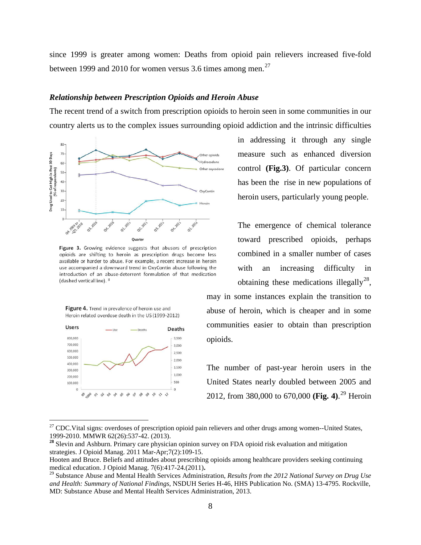since 1999 is greater among women: Deaths from opioid pain relievers increased five-fold between 1999 and 2010 for women versus 3.6 times among men.<sup>[27](#page-7-0)</sup>

## *Relationship between Prescription Opioids and Heroin Abuse*

The recent trend of a switch from prescription opioids to heroin seen in some communities in our country alerts us to the complex issues surrounding opioid addiction and the intrinsic difficulties



Figure 3. Growing evidence suggests that abusers of prescription opioids are shifting to heroin as prescription drugs become less available or harder to abuse. For example, a recent increase in heroin use accompanied a downward trend in OxyContin abuse following the introduction of an abuse-deterrent formulation of that medication (dashed vertical line). <sup>3</sup>

Figure 4. Trend in prevalence of heroin use and Heroin related overdose death in the US (1999-2012)



in addressing it through any single measure such as enhanced diversion control **(Fig.3)**. Of particular concern has been the rise in new populations of heroin users, particularly young people.

The emergence of chemical tolerance toward prescribed opioids, perhaps combined in a smaller number of cases with an increasing difficulty in obtaining these medications illegally<sup>[28](#page-7-1)</sup>,

may in some instances explain the transition to abuse of heroin, which is cheaper and in some communities easier to obtain than prescription opioids.

The number of past-year heroin users in the United States nearly doubled between 2005 and 2012, from 380,000 to 670,000 **(Fig. 4)**. [29](#page-7-2) Heroin

<span id="page-7-0"></span><sup>&</sup>lt;sup>27</sup> CDC. Vital signs: overdoses of prescription opioid pain relievers and other drugs among women--United States, 1999-2010. MMWR 62(26):537-42. (2013).

<span id="page-7-1"></span><sup>&</sup>lt;sup>28</sup> Slevin and Ashburn. Primary care physician opinion survey on FDA opioid risk evaluation and mitigation strategies. [J Opioid Manag.](http://www.ncbi.nlm.nih.gov/pubmed/21561034) 2011 Mar-Apr;7(2):109-15.

Hooten and Bruce. Beliefs and attitudes about prescribing opioids among healthcare providers seeking continuing medical education. [J Opioid Manag.](http://www.ncbi.nlm.nih.gov/pubmed/22320023) 7(6):417-24.(2011).<br><sup>29</sup> Substance Abuse and Mental Health Services Administration, *Results from the 2012 National Survey on Drug Use* 

<span id="page-7-2"></span>*and Health: Summary of National Findings*, NSDUH Series H-46, HHS Publication No. (SMA) 13-4795. Rockville, MD: Substance Abuse and Mental Health Services Administration, 2013.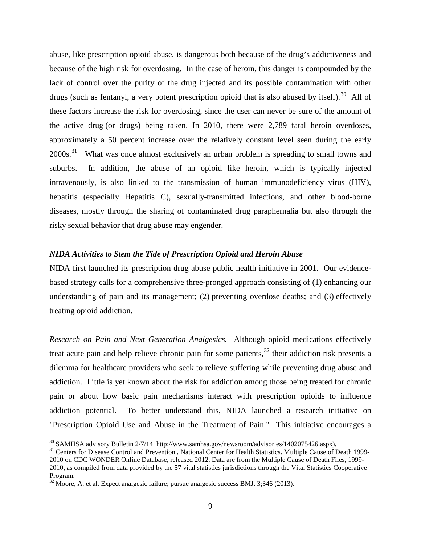abuse, like prescription opioid abuse, is dangerous both because of the drug's addictiveness and because of the high risk for overdosing. In the case of heroin, this danger is compounded by the lack of control over the purity of the drug injected and its possible contamination with other drugs (such as fentanyl, a very potent prescription opioid that is also abused by itself).<sup>[30](#page-8-0)</sup> All of these factors increase the risk for overdosing, since the user can never be sure of the amount of the active drug (or drugs) being taken. In 2010, there were 2,789 fatal heroin overdoses, approximately a 50 percent increase over the relatively constant level seen during the early 2000s.<sup>[31](#page-8-1)</sup> What was once almost exclusively an urban problem is spreading to small towns and suburbs. In addition, the abuse of an opioid like heroin, which is typically injected intravenously, is also linked to the transmission of human immunodeficiency virus (HIV), hepatitis (especially Hepatitis C), sexually-transmitted infections, and other blood-borne diseases, mostly through the sharing of contaminated drug paraphernalia but also through the risky sexual behavior that drug abuse may engender.

### *NIDA Activities to Stem the Tide of Prescription Opioid and Heroin Abuse*

NIDA first launched its prescription drug abuse public health initiative in 2001. Our evidencebased strategy calls for a comprehensive three-pronged approach consisting of (1) enhancing our understanding of pain and its management; (2) preventing overdose deaths; and (3) effectively treating opioid addiction.

*Research on Pain and Next Generation Analgesics.* Although opioid medications effectively treat acute pain and help relieve chronic pain for some patients,<sup>[32](#page-8-2)</sup> their addiction risk presents a dilemma for healthcare providers who seek to relieve suffering while preventing drug abuse and addiction. Little is yet known about the risk for addiction among those being treated for chronic pain or about how basic pain mechanisms interact with prescription opioids to influence addiction potential. To better understand this, NIDA launched a research initiative on "Prescription Opioid Use and Abuse in the Treatment of Pain." This initiative encourages a

<span id="page-8-1"></span>

<span id="page-8-0"></span> $30$  SAMHSA advisory Bulletin 2/7/14 http://www.samhsa.gov/newsroom/advisories/1402075426.aspx).<br> $31$  Centers for Disease Control and Prevention , National Center for Health Statistics. Multiple Cause of Death 1999-2010 on CDC WONDER Online Database, released 2012. Data are from the Multiple Cause of Death Files, 1999- 2010, as compiled from data provided by the 57 vital statistics jurisdictions through the Vital Statistics Cooperative Program.

<span id="page-8-2"></span> $32$  Moore, A. et al. Expect analgesic failure; pursue analgesic success BMJ. 3;346 (2013).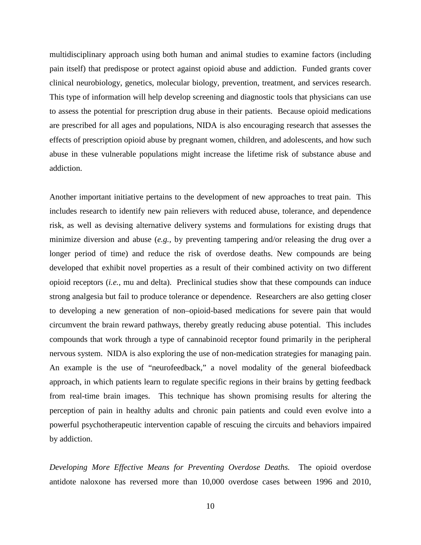multidisciplinary approach using both human and animal studies to examine factors (including pain itself) that predispose or protect against opioid abuse and addiction. Funded grants cover clinical neurobiology, genetics, molecular biology, prevention, treatment, and services research. This type of information will help develop screening and diagnostic tools that physicians can use to assess the potential for prescription drug abuse in their patients. Because opioid medications are prescribed for all ages and populations, NIDA is also encouraging research that assesses the effects of prescription opioid abuse by pregnant women, children, and adolescents, and how such abuse in these vulnerable populations might increase the lifetime risk of substance abuse and addiction.

Another important initiative pertains to the development of new approaches to treat pain. This includes research to identify new pain relievers with reduced abuse, tolerance, and dependence risk, as well as devising alternative delivery systems and formulations for existing drugs that minimize diversion and abuse (*e.g.,* by preventing tampering and/or releasing the drug over a longer period of time) and reduce the risk of overdose deaths. New compounds are being developed that exhibit novel properties as a result of their combined activity on two different opioid receptors (*i.e.,* mu and delta). Preclinical studies show that these compounds can induce strong analgesia but fail to produce tolerance or dependence. Researchers are also getting closer to developing a new generation of non–opioid-based medications for severe pain that would circumvent the brain reward pathways, thereby greatly reducing abuse potential. This includes compounds that work through a type of cannabinoid receptor found primarily in the peripheral nervous system. NIDA is also exploring the use of non-medication strategies for managing pain. An example is the use of "neurofeedback," a novel modality of the general biofeedback approach, in which patients learn to regulate specific regions in their brains by getting feedback from real-time brain images. This technique has shown promising results for altering the perception of pain in healthy adults and chronic pain patients and could even evolve into a powerful psychotherapeutic intervention capable of rescuing the circuits and behaviors impaired by addiction.

*Developing More Effective Means for Preventing Overdose Deaths.* The opioid overdose antidote naloxone has reversed more than 10,000 overdose cases between 1996 and 2010,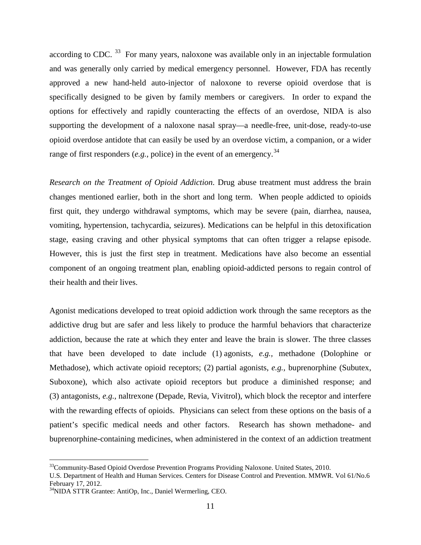according to CDC.  $33$  For many years, naloxone was available only in an injectable formulation and was generally only carried by medical emergency personnel. However, FDA has recently approved a new hand-held auto-injector of naloxone to reverse opioid overdose that is specifically designed to be given by family members or caregivers. In order to expand the options for effectively and rapidly counteracting the effects of an overdose, NIDA is also supporting the development of a naloxone nasal spray—a needle-free, unit-dose, ready-to-use opioid overdose antidote that can easily be used by an overdose victim, a companion, or a wider range of first responders (*e.g.*, police) in the event of an emergency.<sup>[34](#page-10-1)</sup>

*Research on the Treatment of Opioid Addiction*. Drug abuse treatment must address the brain changes mentioned earlier, both in the short and long term. When people addicted to opioids first quit, they undergo withdrawal symptoms, which may be severe (pain, diarrhea, nausea, vomiting, hypertension, tachycardia, seizures). Medications can be helpful in this detoxification stage, easing craving and other physical symptoms that can often trigger a relapse episode. However, this is just the first step in treatment. Medications have also become an essential component of an ongoing treatment plan, enabling opioid-addicted persons to regain control of their health and their lives.

Agonist medications developed to treat opioid addiction work through the same receptors as the addictive drug but are safer and less likely to produce the harmful behaviors that characterize addiction, because the rate at which they enter and leave the brain is slower. The three classes that have been developed to date include (1) agonists, *e.g.,* methadone (Dolophine or Methadose), which activate opioid receptors; (2) partial agonists, *e.g.,* buprenorphine (Subutex, Suboxone), which also activate opioid receptors but produce a diminished response; and (3) antagonists, *e.g.,* naltrexone (Depade, Revia, Vivitrol), which block the receptor and interfere with the rewarding effects of opioids. Physicians can select from these options on the basis of a patient's specific medical needs and other factors. Research has shown methadone- and buprenorphine-containing medicines, when administered in the context of an addiction treatment

<span id="page-10-0"></span><sup>&</sup>lt;sup>33</sup>Community-Based Opioid Overdose Prevention Programs Providing Naloxone. United States, 2010.

U.S. Department of Health and Human Services. Centers for Disease Control and Prevention. MMWR. Vol 61/No.6 February 17, 2012.<br><sup>34</sup>NIDA STTR Grantee: AntiOp, Inc., Daniel Wermerling, CEO.

<span id="page-10-1"></span>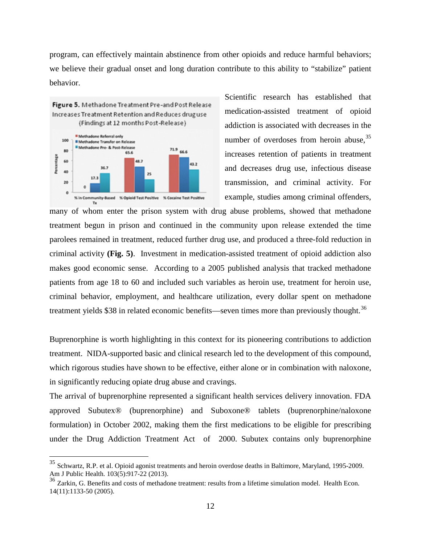program, can effectively maintain abstinence from other opioids and reduce harmful behaviors; we believe their gradual onset and long duration contribute to this ability to "stabilize" patient behavior.



Scientific research has established that medication-assisted treatment of opioid addiction is associated with decreases in the number of overdoses from heroin abuse,<sup>[35](#page-11-0)</sup> increases retention of patients in treatment and decreases drug use, infectious disease transmission, and criminal activity. For example, studies among criminal offenders,

many of whom enter the prison system with drug abuse problems, showed that methadone treatment begun in prison and continued in the community upon release extended the time parolees remained in treatment, reduced further drug use, and produced a three-fold reduction in criminal activity **(Fig. 5)**. Investment in medication-assisted treatment of opioid addiction also makes good economic sense. According to a 2005 published analysis that tracked methadone patients from age 18 to 60 and included such variables as heroin use, treatment for heroin use, criminal behavior, employment, and healthcare utilization, every dollar spent on methadone treatment yields \$38 in related economic benefits—seven times more than previously thought.<sup>[36](#page-11-1)</sup>

Buprenorphine is worth highlighting in this context for its pioneering contributions to addiction treatment. NIDA-supported basic and clinical research led to the development of this compound, which rigorous studies have shown to be effective, either alone or in combination with naloxone, in significantly reducing opiate drug abuse and cravings.

The arrival of buprenorphine represented a significant health services delivery innovation. FDA approved Subutex® (buprenorphine) and Suboxone® tablets (buprenorphine/naloxone formulation) in October 2002, making them the first medications to be eligible for prescribing under the Drug Addiction Treatment Act of 2000. Subutex contains only buprenorphine

<span id="page-11-0"></span><sup>&</sup>lt;sup>35</sup> Schwartz, R.P. et al. Opioid agonist treatments and heroin overdose deaths in Baltimore, Maryland, 1995-2009. [Am J Public Health.](http://www.ncbi.nlm.nih.gov/pubmed/?term=Opioid+Agonist+Treatments+and+Heroin+Overdose+Deaths+in+Baltimore) 103(5):917-22 (2013).

<span id="page-11-1"></span><sup>&</sup>lt;sup>36</sup> Zarkin, G. Benefits and costs of methadone treatment: results from a lifetime simulation model. [Health Econ.](http://www.ncbi.nlm.nih.gov/pubmed/15880389) 14(11):1133-50 (2005).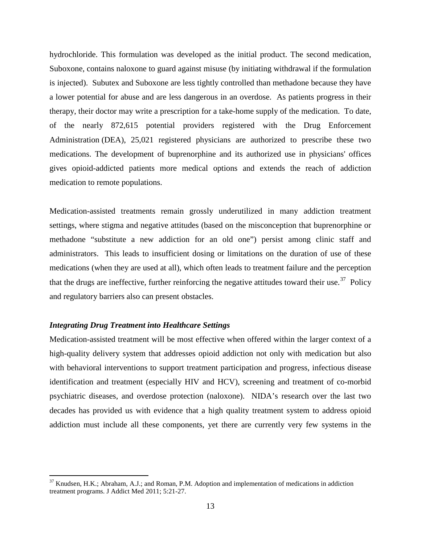hydrochloride. This formulation was developed as the initial product. The second medication, Suboxone, contains naloxone to guard against misuse (by initiating withdrawal if the formulation is injected). Subutex and Suboxone are less tightly controlled than methadone because they have a lower potential for abuse and are less dangerous in an overdose. As patients progress in their therapy, their doctor may write a prescription for a take-home supply of the medication. To date, of the nearly 872,615 potential providers registered with the Drug Enforcement Administration (DEA), 25,021 registered physicians are authorized to prescribe these two medications. The development of buprenorphine and its authorized use in physicians' offices gives opioid-addicted patients more medical options and extends the reach of addiction medication to remote populations.

Medication-assisted treatments remain grossly underutilized in many addiction treatment settings, where stigma and negative attitudes (based on the misconception that buprenorphine or methadone "substitute a new addiction for an old one") persist among clinic staff and administrators. This leads to insufficient dosing or limitations on the duration of use of these medications (when they are used at all), which often leads to treatment failure and the perception that the drugs are ineffective, further reinforcing the negative attitudes toward their use.<sup>[37](#page-12-0)</sup> Policy and regulatory barriers also can present obstacles.

#### *Integrating Drug Treatment into Healthcare Settings*

Medication-assisted treatment will be most effective when offered within the larger context of a high-quality delivery system that addresses opioid addiction not only with medication but also with behavioral interventions to support treatment participation and progress, infectious disease identification and treatment (especially HIV and HCV), screening and treatment of co-morbid psychiatric diseases, and overdose protection (naloxone). NIDA's research over the last two decades has provided us with evidence that a high quality treatment system to address opioid addiction must include all these components, yet there are currently very few systems in the

<span id="page-12-0"></span> $37$  Knudsen, H.K.; Abraham, A.J.; and Roman, P.M. Adoption and implementation of medications in addiction treatment programs. J Addict Med 2011; 5:21-27.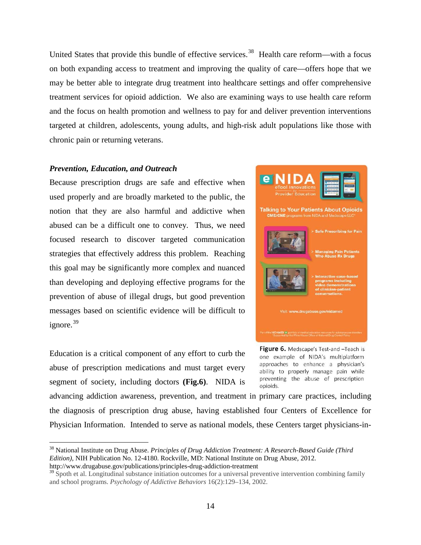United States that provide this bundle of effective services.<sup>[38](#page-13-0)</sup> Health care reform—with a focus on both expanding access to treatment and improving the quality of care—offers hope that we may be better able to integrate drug treatment into healthcare settings and offer comprehensive treatment services for opioid addiction. We also are examining ways to use health care reform and the focus on health promotion and wellness to pay for and deliver prevention interventions targeted at children, adolescents, young adults, and high-risk adult populations like those with chronic pain or returning veterans.

#### *Prevention, Education, and Outreach*

Because prescription drugs are safe and effective when used properly and are broadly marketed to the public, the notion that they are also harmful and addictive when abused can be a difficult one to convey. Thus, we need focused research to discover targeted communication strategies that effectively address this problem. Reaching this goal may be significantly more complex and nuanced than developing and deploying effective programs for the prevention of abuse of illegal drugs, but good prevention messages based on scientific evidence will be difficult to ignore. [39](#page-13-1)

Education is a critical component of any effort to curb the abuse of prescription medications and must target every segment of society, including doctors **(Fig.6)**. NIDA is



Figure 6. Medscape's Test-and -Teach is one example of NIDA's multiplatform approaches to enhance a physician's ability to properly manage pain while preventing the abuse of prescription opioids.

advancing addiction awareness, prevention, and treatment in primary care practices, including the diagnosis of prescription drug abuse, having established four Centers of Excellence for Physician Information. Intended to serve as national models, these Centers target physicians-in-

<span id="page-13-0"></span> 38 National Institute on Drug Abuse. *Principles of Drug Addiction Treatment: A Research-Based Guide (Third Edition)*, NIH Publication No. 12-4180. Rockville, MD: National Institute on Drug Abuse, 2012. http://www.drugabuse.gov/publications/principles-drug-addiction-treatment

<span id="page-13-1"></span> $39\text{ Spoth}$  et al. Longitudinal substance initiation outcomes for a universal preventive intervention combining family and school programs. *Psychology of Addictive Behaviors* 16(2):129–134, 2002.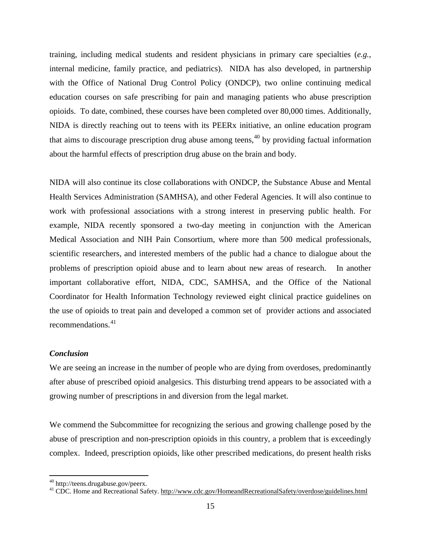training, including medical students and resident physicians in primary care specialties (*e.g.,* internal medicine, family practice, and pediatrics). NIDA has also developed, in partnership with the Office of National Drug Control Policy (ONDCP), two online continuing medical education courses on safe prescribing for pain and managing patients who abuse prescription opioids. To date, combined, these courses have been completed over 80,000 times. Additionally, NIDA is directly reaching out to teens with its PEERx initiative, an online education program that aims to discourage prescription drug abuse among teens, [40](#page-14-0) by providing factual information about the harmful effects of prescription drug abuse on the brain and body.

NIDA will also continue its close collaborations with ONDCP, the Substance Abuse and Mental Health Services Administration (SAMHSA), and other Federal Agencies. It will also continue to work with professional associations with a strong interest in preserving public health. For example, NIDA recently sponsored a two-day meeting in conjunction with the American Medical Association and NIH Pain Consortium, where more than 500 medical professionals, scientific researchers, and interested members of the public had a chance to dialogue about the problems of prescription opioid abuse and to learn about new areas of research. In another important collaborative effort, NIDA, CDC, SAMHSA, and the Office of the National Coordinator for Health Information Technology reviewed eight clinical practice guidelines on the use of opioids to treat pain and developed a common set of provider actions and associated recommendations. [41](#page-14-1)

## *Conclusion*

We are seeing an increase in the number of people who are dying from overdoses, predominantly after abuse of prescribed opioid analgesics. This disturbing trend appears to be associated with a growing number of prescriptions in and diversion from the legal market.

We commend the Subcommittee for recognizing the serious and growing challenge posed by the abuse of prescription and non-prescription opioids in this country, a problem that is exceedingly complex. Indeed, prescription opioids, like other prescribed medications, do present health risks

<span id="page-14-1"></span><span id="page-14-0"></span><sup>&</sup>lt;sup>40</sup> http://teens.drugabuse.gov/peerx.<br><sup>41</sup> CDC. Home and Recreational Safety.<http://www.cdc.gov/HomeandRecreationalSafety/overdose/guidelines.html>